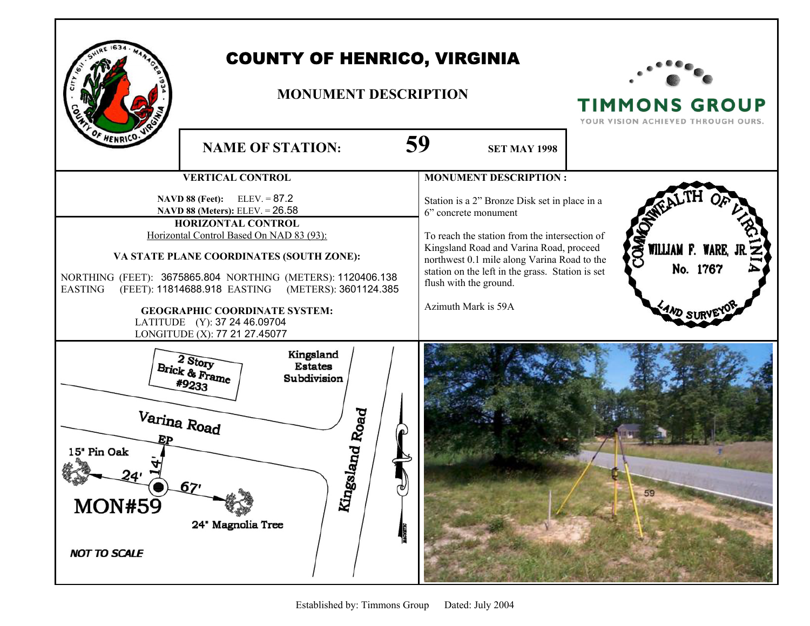

## COUNTY OF HENRICO, VIRGINIA

## **MONUMENT DESCRIPTION**



**TIMMONS GROUP** YOUR VISION ACHIEVED THROUGH OURS.